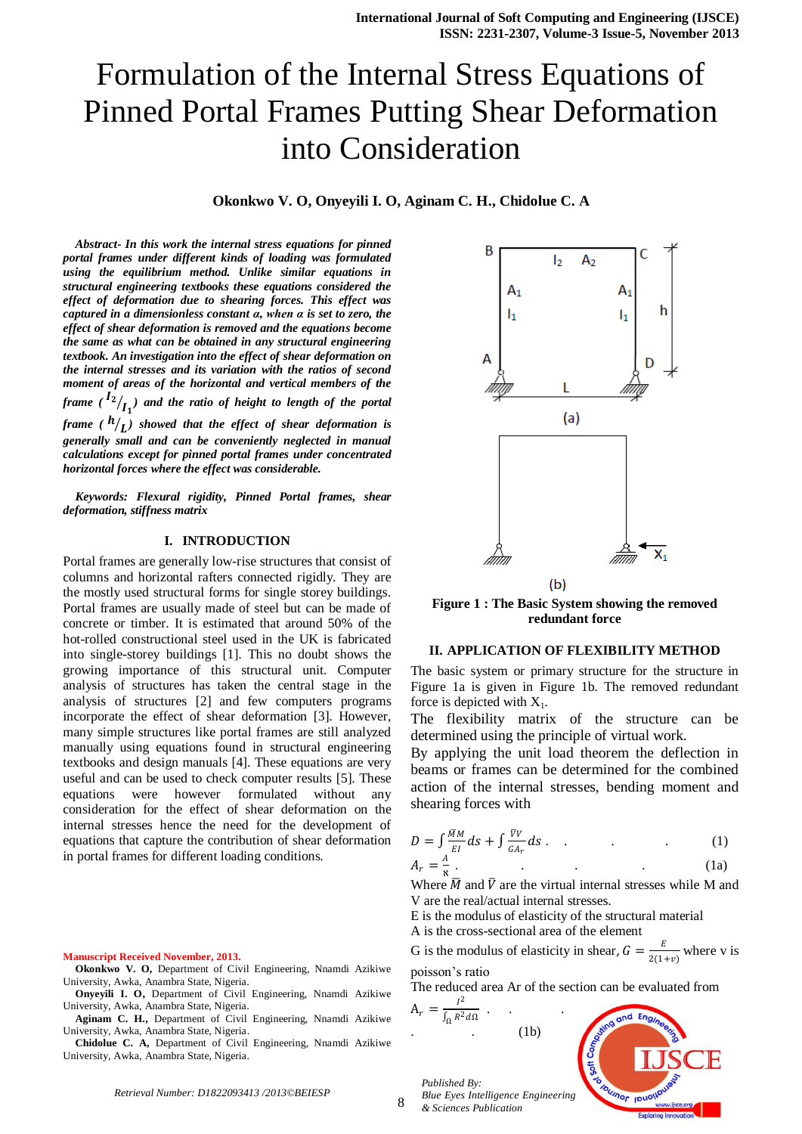**Okonkwo V. O, Onyeyili I. O, Aginam C. H., Chidolue C. A**

*Abstract- In this work the internal stress equations for pinned portal frames under different kinds of loading was formulated using the equilibrium method. Unlike similar equations in structural engineering textbooks these equations considered the effect of deformation due to shearing forces. This effect was captured in a dimensionless constant α, when α is set to zero, the effect of shear deformation is removed and the equations become the same as what can be obtained in any structural engineering textbook. An investigation into the effect of shear deformation on the internal stresses and its variation with the ratios of second moment of areas of the horizontal and vertical members of the*  frame (  $I_{\left\langle I_{1}\right\rangle }$  and the ratio of height to length of the portal frame (  $h /_{\bigcup}$  ) showed that the effect of shear deformation is *generally small and can be conveniently neglected in manual calculations except for pinned portal frames under concentrated* 

*Keywords: Flexural rigidity, Pinned Portal frames, shear deformation, stiffness matrix*

*horizontal forces where the effect was considerable.*

#### **I. INTRODUCTION**

Portal frames are generally low-rise structures that consist of columns and horizontal rafters connected rigidly. They are the mostly used structural forms for single storey buildings. Portal frames are usually made of steel but can be made of concrete or timber. It is estimated that around 50% of the hot-rolled constructional steel used in the UK is fabricated into single-storey buildings [1]. This no doubt shows the growing importance of this structural unit. Computer analysis of structures has taken the central stage in the analysis of structures [2] and few computers programs incorporate the effect of shear deformation [3]. However, many simple structures like portal frames are still analyzed manually using equations found in structural engineering textbooks and design manuals [4]. These equations are very useful and can be used to check computer results [5]. These equations were however formulated without any consideration for the effect of shear deformation on the internal stresses hence the need for the development of equations that capture the contribution of shear deformation in portal frames for different loading conditions.

#### **Manuscript Received November, 2013.**

- **Okonkwo V. O,** Department of Civil Engineering, Nnamdi Azikiwe University, Awka, Anambra State, Nigeria.
- **Onyeyili I. O,** Department of Civil Engineering, Nnamdi Azikiwe University, Awka, Anambra State, Nigeria.
- **Aginam C. H.,** Department of Civil Engineering, Nnamdi Azikiwe University, Awka, Anambra State, Nigeria.

**Chidolue C. A,** Department of Civil Engineering, Nnamdi Azikiwe University, Awka, Anambra State, Nigeria.



**Figure 1 : The Basic System showing the removed redundant force**

### **II. APPLICATION OF FLEXIBILITY METHOD**

The basic system or primary structure for the structure in Figure 1a is given in Figure 1b. The removed redundant force is depicted with  $X_1$ .

The flexibility matrix of the structure can be determined using the principle of virtual work.

By applying the unit load theorem the deflection in beams or frames can be determined for the combined action of the internal stresses, bending moment and shearing forces with

$$
D = \int \frac{M}{EI} dS + \int \frac{\nabla V}{G A_r} dS \tag{1}
$$
\n
$$
A_r = \frac{A}{s} \tag{1a}
$$

$$
\tag{1a}
$$

Where  $\overline{M}$  and  $\overline{V}$  are the virtual internal stresses while M and V are the real/actual internal stresses.

E is the modulus of elasticity of the structural material

A is the cross-sectional area of the element

G is the modulus of elasticity in shear,  $G = \frac{E}{2(1)}$  $\frac{E}{2(1+v)}$  where v is poisson's ratio

The reduced area Ar of the section can be evaluated from

 $A_r = \frac{I^2}{1 - R^2}$  $\int_{\Omega} R^2 d\Omega$  . . .  $(1b)$ 

*& Sciences Publication* 

*Published By:*

ℵ



*Retrieval Number: D1822093413 /2013©BEIESP*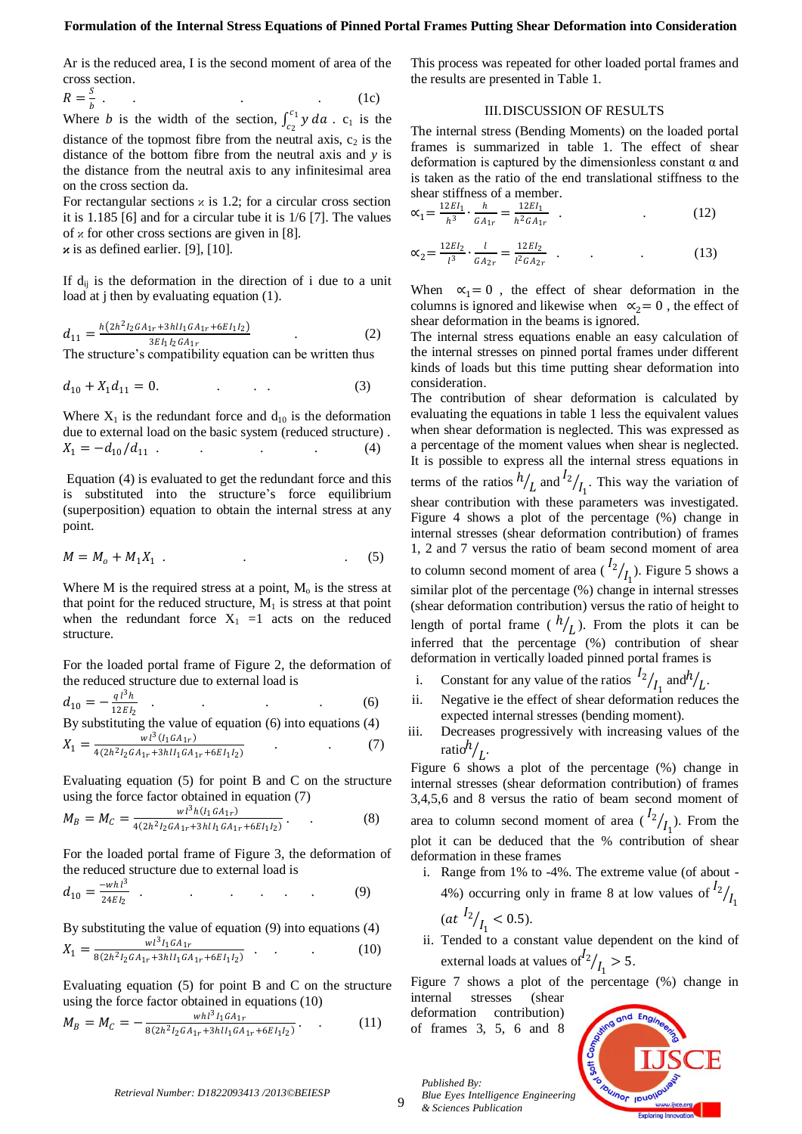Ar is the reduced area, I is the second moment of area of the cross section.

$$
R = \frac{S}{b} \tag{1c}
$$

Where *b* is the width of the section,  $\int_{c_0}^{c_1} y \, da$  $\int_{c_2}^{c_1} y \, da$ .  $c_1$  is the distance of the topmost fibre from the neutral axis,  $c_2$  is the distance of the bottom fibre from the neutral axis and *y* is the distance from the neutral axis to any infinitesimal area on the cross section da.

For rectangular sections  $\alpha$  is 1.2; for a circular cross section it is 1.185 [6] and for a circular tube it is 1/6 [7]. The values of  $\alpha$  for other cross sections are given in [8]. **κ** is as defined earlier. [9], [10].

If  $d_{ij}$  is the deformation in the direction of i due to a unit load at j then by evaluating equation (1).

$$
d_{11} = \frac{h(2h^2I_2GA_{1r} + 3hII_1GA_{1r} + 6EI_1I_2)}{3EI_1I_2GA_{1r}}
$$
 (2)

The structure's compatibility equation can be written thus

$$
d_{10} + X_1 d_{11} = 0. \tag{3}
$$

Where  $X_1$  is the redundant force and  $d_{10}$  is the deformation due to external load on the basic system (reduced structure) .  $X_1 = -d_{10} / d_{11}$  .

Equation (4) is evaluated to get the redundant force and this is substituted into the structure's force equilibrium (superposition) equation to obtain the internal stress at any point.

$$
M = M_o + M_1 X_1 \tag{5}
$$

Where M is the required stress at a point,  $M<sub>o</sub>$  is the stress at that point for the reduced structure,  $M_1$  is stress at that point when the redundant force  $X_1 = 1$  acts on the reduced structure.

For the loaded portal frame of Figure 2, the deformation of the reduced structure due to external load is

$$
d_{10} = -\frac{q^{13}h}{12EI_2} \t\t(6)
$$

By substituting the value of equation (6) into equations (4)  $wl^3(I_1GA_{1r})$ 

$$
X_1 = \frac{Wt \ (110^{t} \text{m})}{4(2h^2 l_2 G A_{1r} + 3h l l_1 G A_{1r} + 6E l_1 l_2)}\tag{7}
$$

Evaluating equation (5) for point B and C on the structure using the force factor obtained in equation (7)

$$
M_B = M_C = \frac{wl^3h(l_1GA_{1r})}{4(2h^2l_2GA_{1r} + 3hll_1GA_{1r} + 6EI_1l_2)}.
$$
 (8)

For the loaded portal frame of Figure 3, the deformation of the reduced structure due to external load is

$$
d_{10} = \frac{-wh^3}{24EI_2} \tag{9}
$$

By substituting the value of equation (9) into equations (4)  $X_1 = \frac{wl^3 I_1 G A_{1r}}{g(2h^2 I_2 G A_{1r} + 3h) I_1 G A_{1r}}$  $\frac{w_1}{8(2h^2I_2GA_{1r}+3hII_1GA_{1r}+6EI_1I_2)}$  (10)

Evaluating equation (5) for point B and C on the structure using the force factor obtained in equations (10)

$$
M_B = M_C = -\frac{whl^3l_1GA_{1r}}{8(2h^2l_2GA_{1r} + 3hll_1GA_{1r} + 6EI_1l_2)}.
$$
 (11)

This process was repeated for other loaded portal frames and the results are presented in Table 1.

## III.DISCUSSION OF RESULTS

The internal stress (Bending Moments) on the loaded portal frames is summarized in table 1. The effect of shear deformation is captured by the dimensionless constant  $\alpha$  and is taken as the ratio of the end translational stiffness to the shear stiffness of a member.

$$
\alpha_1 = \frac{12EI_1}{h^3} \cdot \frac{h}{GA_{1r}} = \frac{12EI_1}{h^2GA_{1r}} \quad . \tag{12}
$$

$$
\alpha_2 = \frac{12EI_2}{l^3} \cdot \frac{l}{GA_{2r}} = \frac{12EI_2}{l^2GA_{2r}} \quad . \tag{13}
$$

When  $\alpha_1 = 0$ , the effect of shear deformation in the columns is ignored and likewise when  $\alpha_2 = 0$ , the effect of shear deformation in the beams is ignored.

The internal stress equations enable an easy calculation of the internal stresses on pinned portal frames under different kinds of loads but this time putting shear deformation into consideration.

The contribution of shear deformation is calculated by evaluating the equations in table 1 less the equivalent values when shear deformation is neglected. This was expressed as a percentage of the moment values when shear is neglected. It is possible to express all the internal stress equations in terms of the ratios  $h/_{L}$  and  $l^{2}/_{I_{1}}$ . This way the variation of shear contribution with these parameters was investigated. Figure 4 shows a plot of the percentage (%) change in internal stresses (shear deformation contribution) of frames 1, 2 and 7 versus the ratio of beam second moment of area to column second moment of area  $\binom{I_2}{I_1}$ . Figure 5 shows a similar plot of the percentage (%) change in internal stresses (shear deformation contribution) versus the ratio of height to length of portal frame  $(h/_{L})$ . From the plots it can be inferred that the percentage (%) contribution of shear deformation in vertically loaded pinned portal frames is

- i. Constant for any value of the ratios  $I_2$  $\frac{1}{1}$  and  $h/$ .
- ii. Negative ie the effect of shear deformation reduces the expected internal stresses (bending moment).
- iii. Decreases progressively with increasing values of the ratio $h/_{L}$ .

Figure 6 shows a plot of the percentage (%) change in internal stresses (shear deformation contribution) of frames 3,4,5,6 and 8 versus the ratio of beam second moment of area to column second moment of area  $\binom{I_2}{I_1}$ . From the plot it can be deduced that the % contribution of shear deformation in these frames

- i. Range from 1% to -4%. The extreme value (of about 4%) occurring only in frame 8 at low values of  $\frac{l_2}{l_1}$  $(at \frac{I_2}{I_1})$  $\frac{1}{I_1}$  < 0.5).
- ii. Tended to a constant value dependent on the kind of external loads at values of  $l^2/_{l_1} > 5$ .

Figure 7 shows a plot of the percentage (%) change in internal stresses (shear

deformation contribution) of frames 3, 5, 6 and 8

*Published By:*

*& Sciences Publication* 



9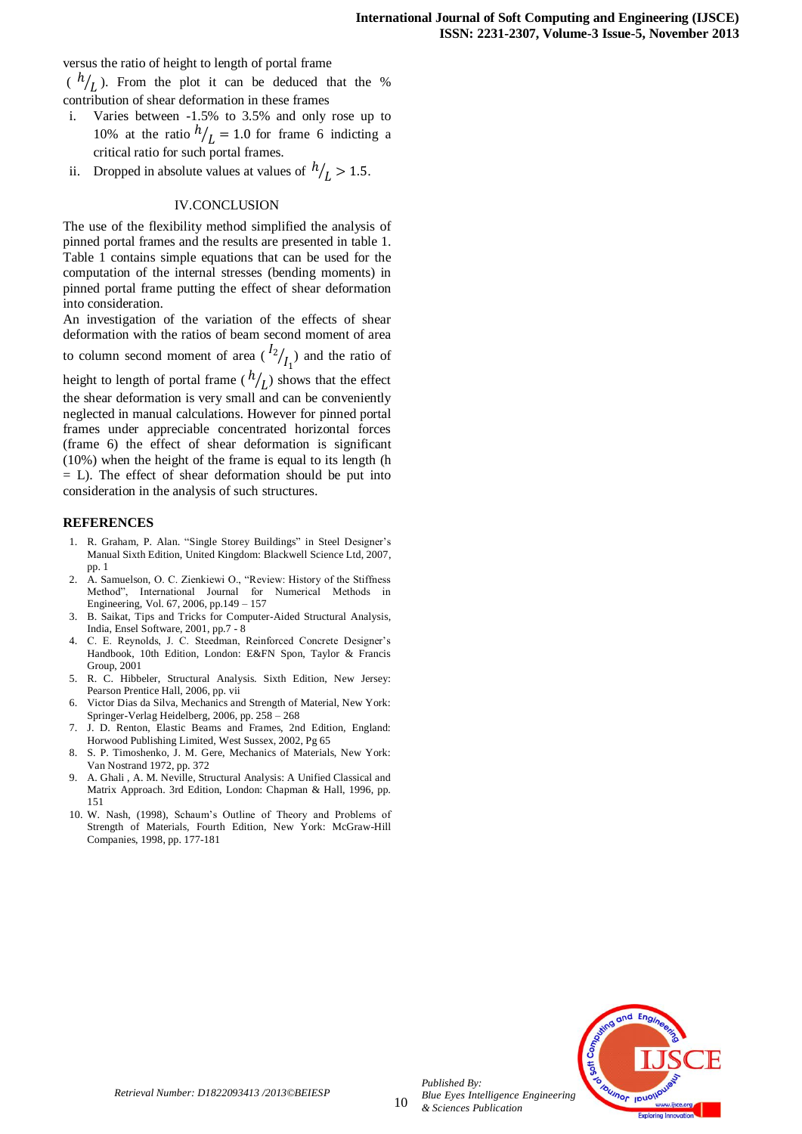versus the ratio of height to length of portal frame

 $(h /_{L})$ . From the plot it can be deduced that the % contribution of shear deformation in these frames

- i. Varies between -1.5% to 3.5% and only rose up to 10% at the ratio  $h/_{L} = 1.0$  for frame 6 indicting a critical ratio for such portal frames.
- ii. Dropped in absolute values at values of  $h/_{L} > 1.5$ .

### IV.CONCLUSION

The use of the flexibility method simplified the analysis of pinned portal frames and the results are presented in table 1. Table 1 contains simple equations that can be used for the computation of the internal stresses (bending moments) in pinned portal frame putting the effect of shear deformation into consideration.

An investigation of the variation of the effects of shear deformation with the ratios of beam second moment of area to column second moment of area  $\binom{I_2}{I_1}$  and the ratio of

height to length of portal frame ( $h/_{L}$ ) shows that the effect the shear deformation is very small and can be conveniently neglected in manual calculations. However for pinned portal frames under appreciable concentrated horizontal forces (frame 6) the effect of shear deformation is significant (10%) when the height of the frame is equal to its length (h  $=$  L). The effect of shear deformation should be put into consideration in the analysis of such structures.

#### **REFERENCES**

- 1. R. Graham, P. Alan. "Single Storey Buildings" in Steel Designer's Manual Sixth Edition, United Kingdom: Blackwell Science Ltd, 2007, pp. 1
- 2. A. Samuelson, O. C. Zienkiewi O., "Review: History of the Stiffness Method", International Journal for Numerical Methods in Engineering, Vol. 67, 2006, pp.149 – 157
- 3. B. Saikat, Tips and Tricks for Computer-Aided Structural Analysis, India, Ensel Software, 2001, pp.7 - 8
- 4. C. E. Reynolds, J. C. Steedman, Reinforced Concrete Designer's Handbook, 10th Edition, London: E&FN Spon, Taylor & Francis Group, 2001
- 5. R. C. Hibbeler, Structural Analysis. Sixth Edition, New Jersey: Pearson Prentice Hall, 2006, pp. vii
- 6. Victor Dias da Silva, Mechanics and Strength of Material, New York: Springer-Verlag Heidelberg, 2006, pp. 258 – 268
- 7. J. D. Renton, Elastic Beams and Frames, 2nd Edition, England: Horwood Publishing Limited, West Sussex, 2002, Pg 65
- 8. S. P. Timoshenko, J. M. Gere, Mechanics of Materials, New York: Van Nostrand 1972, pp. 372
- 9. A. Ghali , A. M. Neville, Structural Analysis: A Unified Classical and Matrix Approach. 3rd Edition, London: Chapman & Hall, 1996, pp. 151
- 10. W. Nash, (1998), Schaum's Outline of Theory and Problems of Strength of Materials, Fourth Edition, New York: McGraw-Hill Companies, 1998, pp. 177-181



10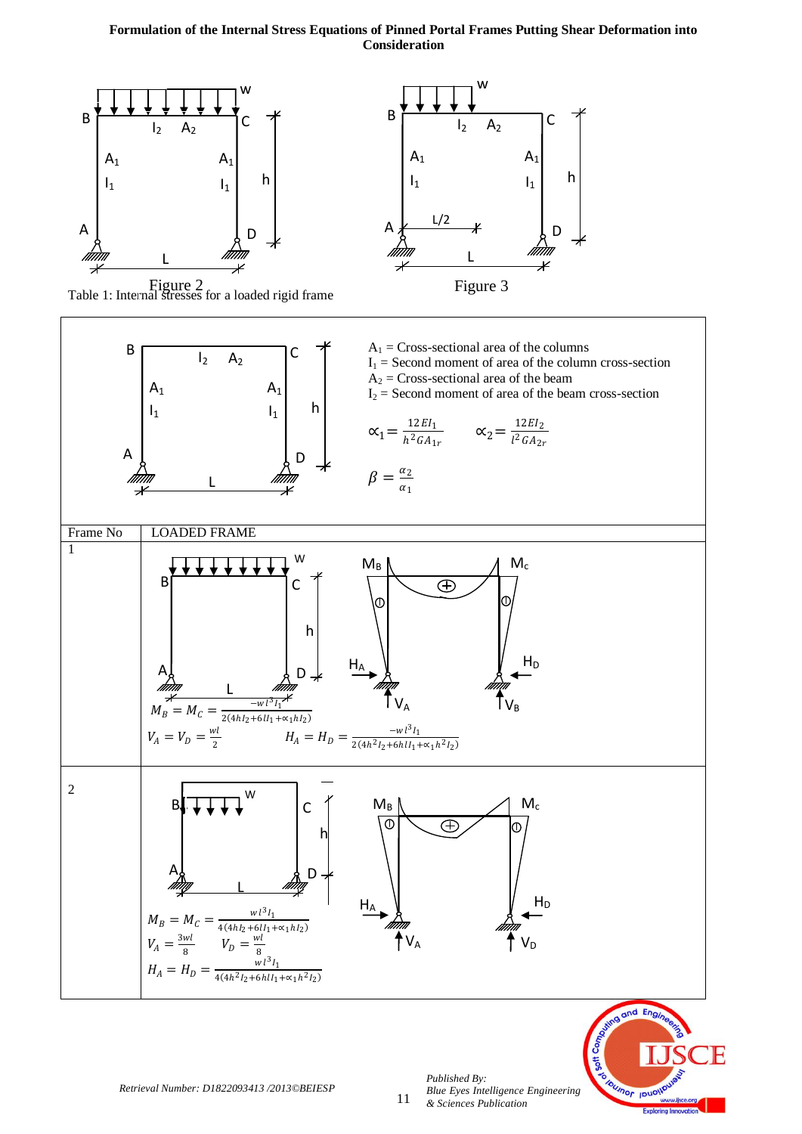







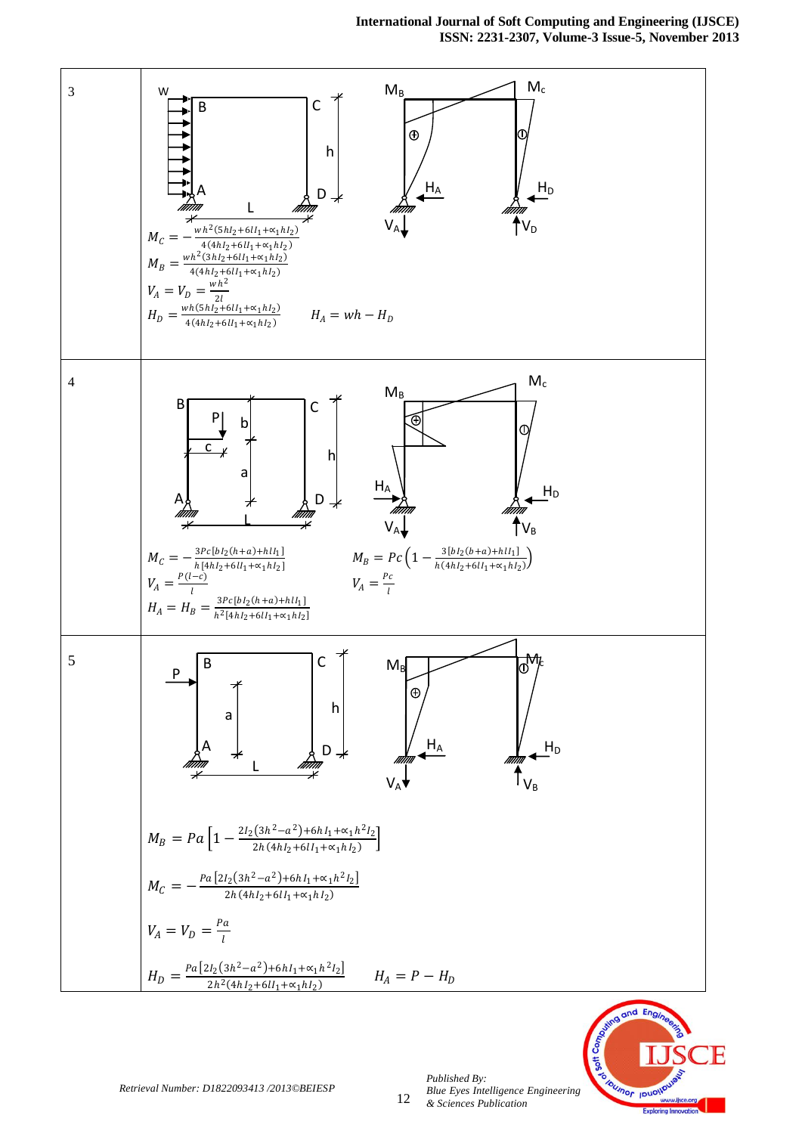**International Journal of Soft Computing and Engineering (IJSCE) ISSN: 2231-2307, Volume-3 Issue-5, November 2013**





*Published By:*

*& Sciences Publication* 

*Blue Eyes Intelligence Engineering*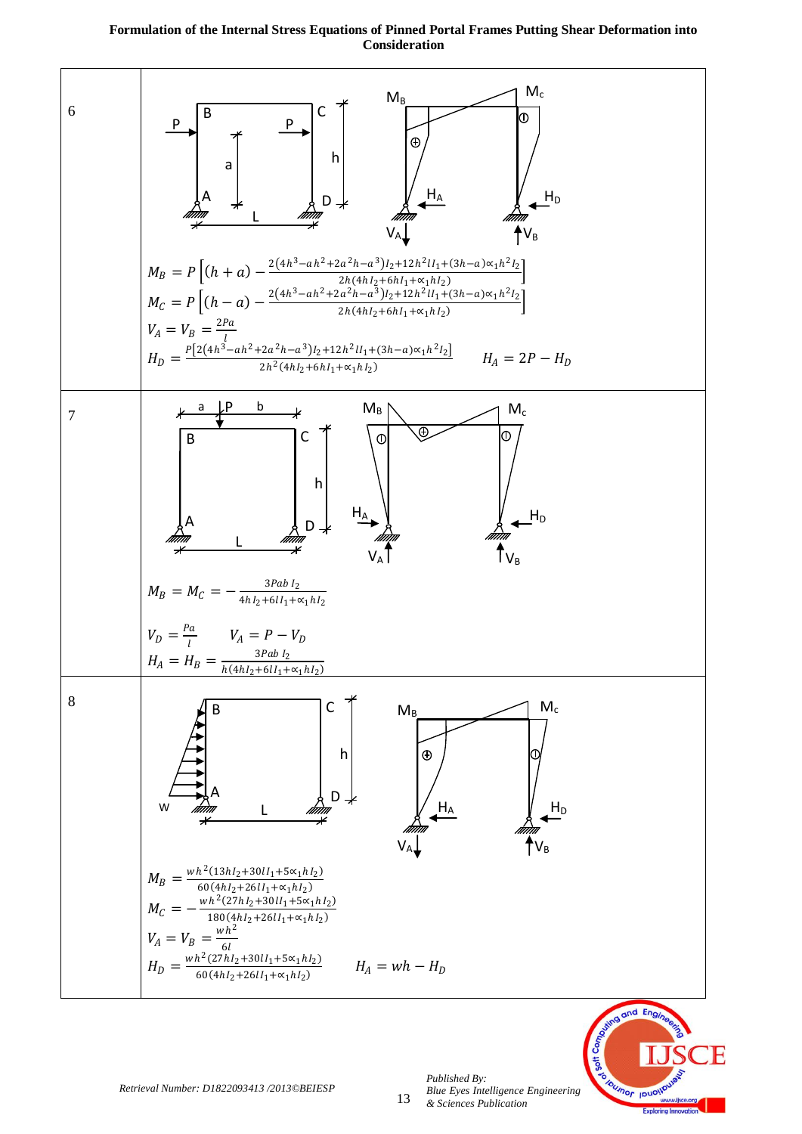

*Blue Eyes Intelligence Engineering* 

nor IDU

*& Sciences Publication*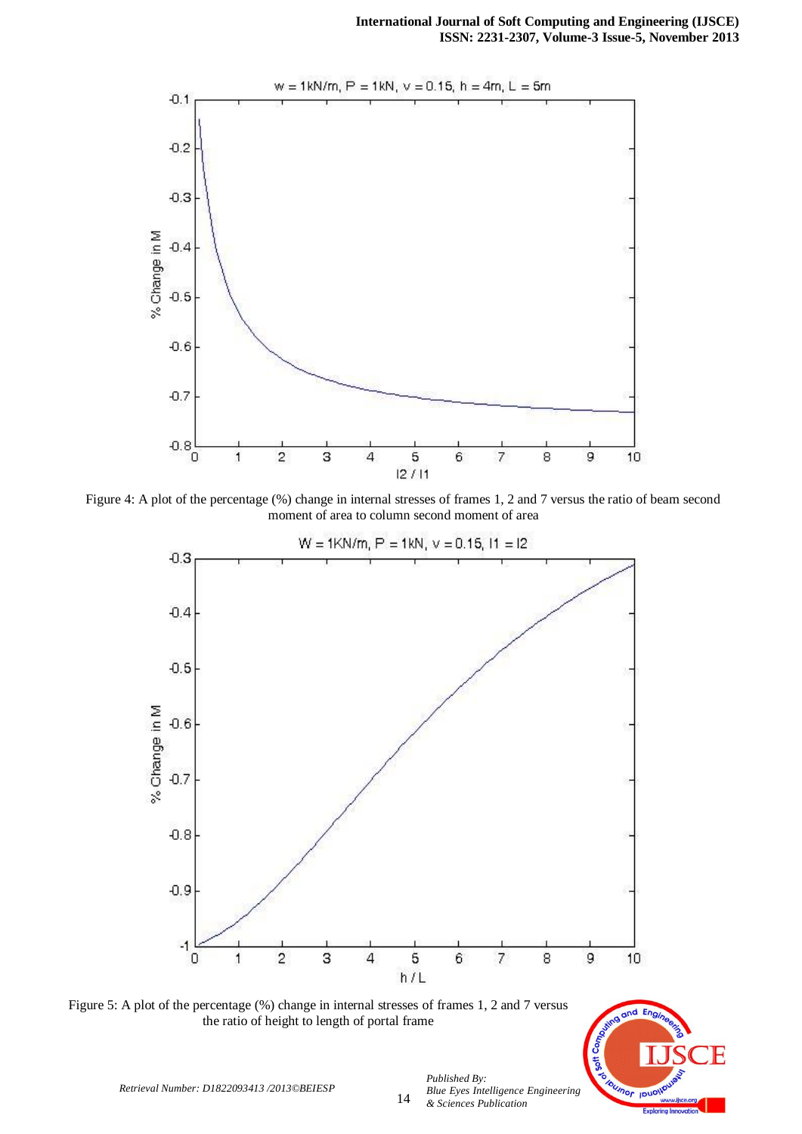

Figure 4: A plot of the percentage (%) change in internal stresses of frames 1, 2 and 7 versus the ratio of beam second moment of area to column second moment of area



Figure 5: A plot of the percentage (%) change in internal stresses of frames 1, 2 and 7 versus the ratio of height to length of portal frame



*Retrieval Number: D1822093413 /2013©BEIESP*

14

*Blue Eyes Intelligence Engineering & Sciences Publication*